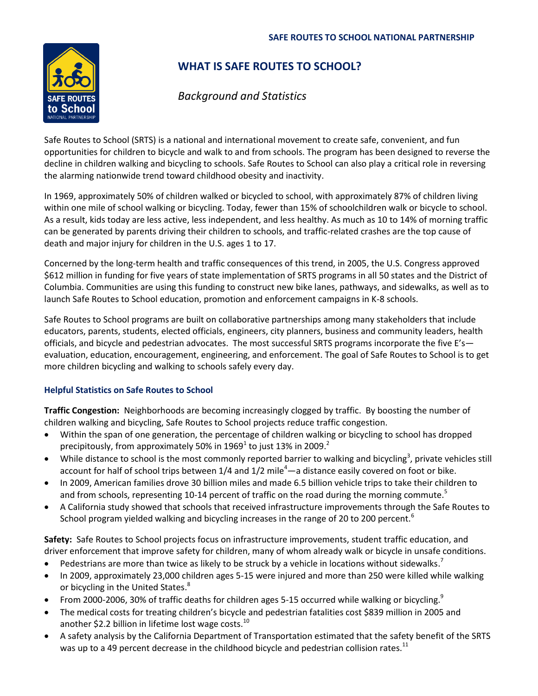

## **WHAT IS SAFE ROUTES TO SCHOOL?**

# *Background and Statistics*

Safe Routes to School (SRTS) is a national and international movement to create safe, convenient, and fun opportunities for children to bicycle and walk to and from schools. The program has been designed to reverse the decline in children walking and bicycling to schools. Safe Routes to School can also play a critical role in reversing the alarming nationwide trend toward childhood obesity and inactivity.

In 1969, approximately 50% of children walked or bicycled to school, with approximately 87% of children living within one mile of school walking or bicycling. Today, fewer than 15% of schoolchildren walk or bicycle to school. As a result, kids today are less active, less independent, and less healthy. As much as 10 to 14% of morning traffic can be generated by parents driving their children to schools, and traffic-related crashes are the top cause of death and major injury for children in the U.S. ages 1 to 17.

Concerned by the long-term health and traffic consequences of this trend, in 2005, the U.S. Congress approved \$612 million in funding for five years of state implementation of SRTS programs in all 50 states and the District of Columbia. Communities are using this funding to construct new bike lanes, pathways, and sidewalks, as well as to launch Safe Routes to School education, promotion and enforcement campaigns in K-8 schools.

Safe Routes to School programs are built on collaborative partnerships among many stakeholders that include educators, parents, students, elected officials, engineers, city planners, business and community leaders, health officials, and bicycle and pedestrian advocates. The most successful SRTS programs incorporate the five E's evaluation, education, encouragement, engineering, and enforcement. The goal of Safe Routes to School is to get more children bicycling and walking to schools safely every day.

### **Helpful Statistics on Safe Routes to School**

**Traffic Congestion:** Neighborhoods are becoming increasingly clogged by traffic. By boosting the number of children walking and bicycling, Safe Routes to School projects reduce traffic congestion.

- Within the span of one generation, the percentage of children walking or bicycling to school has dropped precipitously, from approximately 50% in 1969<sup>1</sup> to just 13% in 2009.<sup>2</sup>
- While distance to school is the most commonly reported barrier to walking and bicycling<sup>3</sup>, private vehicles still account for half of school trips between  $1/4$  and  $1/2$  mile<sup>4</sup>—a distance easily covered on foot or bike.
- In 2009, American families drove 30 billion miles and made 6.5 billion vehicle trips to take their children to and from schools, representing 10-14 percent of traffic on the road during the morning commute.<sup>5</sup>
- A California study showed that schools that received infrastructure improvements through the Safe Routes to School program yielded walking and bicycling increases in the range of 20 to 200 percent.<sup>6</sup>

**Safety:** Safe Routes to School projects focus on infrastructure improvements, student traffic education, and driver enforcement that improve safety for children, many of whom already walk or bicycle in unsafe conditions.

- Pedestrians are more than twice as likely to be struck by a vehicle in locations without sidewalks.<sup>7</sup>
- In 2009, approximately 23,000 children ages 5-15 were injured and more than 250 were killed while walking or bicycling in the United States.<sup>8</sup>
- From 2000-2006, 30% of traffic deaths for children ages 5-15 occurred while walking or bicycling.<sup>9</sup>
- The medical costs for treating children's bicycle and pedestrian fatalities cost \$839 million in 2005 and another \$2.2 billion in lifetime lost wage costs.<sup>10</sup>
- A safety analysis by the California Department of Transportation estimated that the safety benefit of the SRTS was up to a 49 percent decrease in the childhood bicycle and pedestrian collision rates.<sup>11</sup>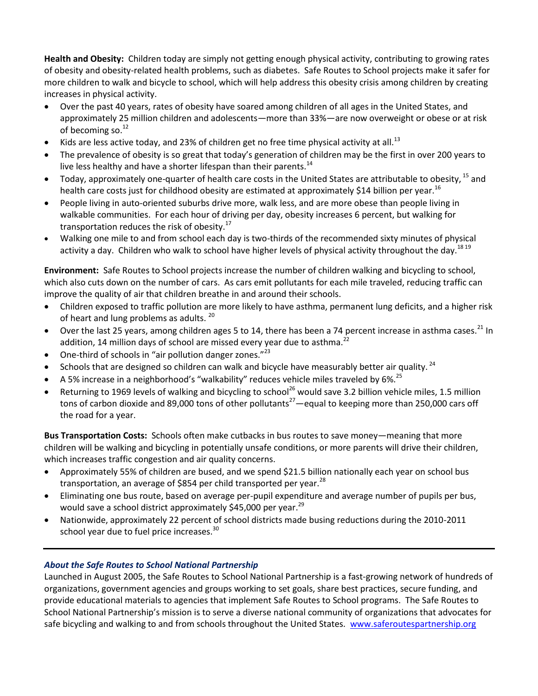**Health and Obesity:** Children today are simply not getting enough physical activity, contributing to growing rates of obesity and obesity-related health problems, such as diabetes. Safe Routes to School projects make it safer for more children to walk and bicycle to school, which will help address this obesity crisis among children by creating increases in physical activity.

- Over the past 40 years, rates of obesity have soared among children of all ages in the United States, and approximately 25 million children and adolescents—more than 33%—are now overweight or obese or at risk of becoming so.<sup>12</sup>
- Kids are less active today, and 23% of children get no free time physical activity at all.<sup>13</sup>
- The prevalence of obesity is so great that today's generation of children may be the first in over 200 years to live less healthy and have a shorter lifespan than their parents. $14$
- Today, approximately one-quarter of health care costs in the United States are attributable to obesity, <sup>15</sup> and health care costs just for childhood obesity are estimated at approximately \$14 billion per year.<sup>16</sup>
- People living in auto-oriented suburbs drive more, walk less, and are more obese than people living in walkable communities. For each hour of driving per day, obesity increases 6 percent, but walking for transportation reduces the risk of obesity.<sup>17</sup>
- Walking one mile to and from school each day is two-thirds of the recommended sixty minutes of physical activity a day. Children who walk to school have higher levels of physical activity throughout the day.<sup>1819</sup>

**Environment:** Safe Routes to School projects increase the number of children walking and bicycling to school, which also cuts down on the number of cars. As cars emit pollutants for each mile traveled, reducing traffic can improve the quality of air that children breathe in and around their schools.

- Children exposed to traffic pollution are more likely to have asthma, permanent lung deficits, and a higher risk of heart and lung problems as adults. <sup>20</sup>
- Over the last 25 years, among children ages 5 to 14, there has been a 74 percent increase in asthma cases.<sup>21</sup> In addition, 14 million days of school are missed every year due to asthma.<sup>22</sup>
- One-third of schools in "air pollution danger zones."<sup>23</sup>
- Schools that are designed so children can walk and bicycle have measurably better air quality.<sup>24</sup>
- A 5% increase in a neighborhood's "walkability" reduces vehicle miles traveled by 6%.<sup>25</sup>
- Returning to 1969 levels of walking and bicycling to school<sup>26</sup> would save 3.2 billion vehicle miles, 1.5 million tons of carbon dioxide and 89,000 tons of other pollutants<sup>27</sup>—equal to keeping more than 250,000 cars off the road for a year.

**Bus Transportation Costs:** Schools often make cutbacks in bus routes to save money—meaning that more children will be walking and bicycling in potentially unsafe conditions, or more parents will drive their children, which increases traffic congestion and air quality concerns.

- Approximately 55% of children are bused, and we spend \$21.5 billion nationally each year on school bus transportation, an average of \$854 per child transported per year. $^{28}$
- Eliminating one bus route, based on average per-pupil expenditure and average number of pupils per bus, would save a school district approximately \$45,000 per year.<sup>29</sup>
- Nationwide, approximately 22 percent of school districts made busing reductions during the 2010-2011 school year due to fuel price increases.<sup>30</sup>

### *About the Safe Routes to School National Partnership*

Launched in August 2005, the Safe Routes to School National Partnership is a fast-growing network of hundreds of organizations, government agencies and groups working to set goals, share best practices, secure funding, and provide educational materials to agencies that implement Safe Routes to School programs. The Safe Routes to School National Partnership's mission is to serve a diverse national community of organizations that advocates for safe bicycling and walking to and from schools throughout the United States. [www.saferoutespartnership.org](http://www.saferoutespartnership.org/)